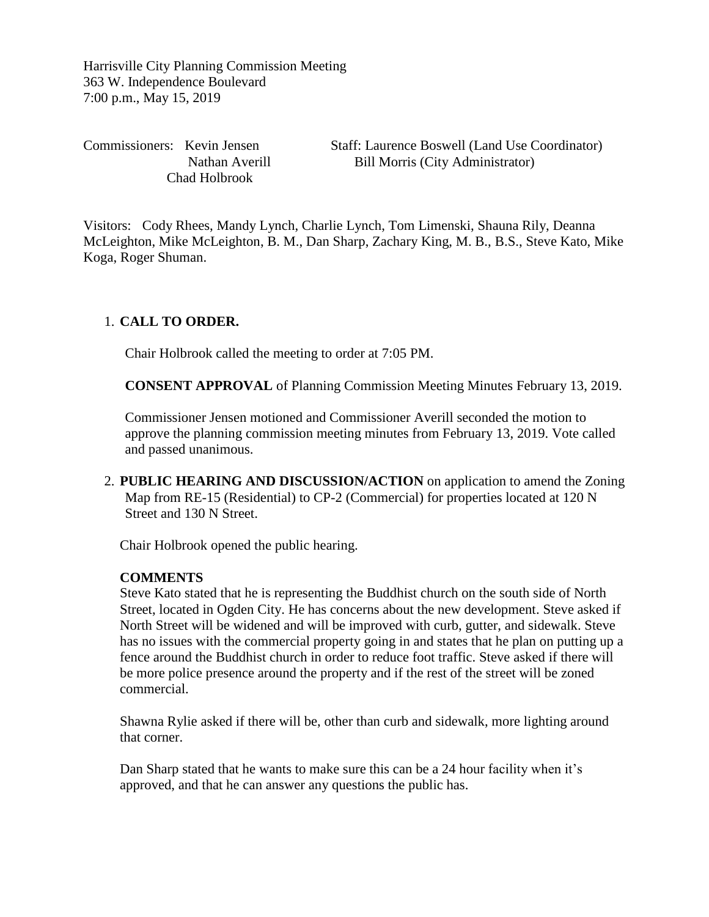Harrisville City Planning Commission Meeting 363 W. Independence Boulevard 7:00 p.m., May 15, 2019

Chad Holbrook

Commissioners: Kevin Jensen Staff: Laurence Boswell (Land Use Coordinator) Nathan Averill Bill Morris (City Administrator)

Visitors: Cody Rhees, Mandy Lynch, Charlie Lynch, Tom Limenski, Shauna Rily, Deanna McLeighton, Mike McLeighton, B. M., Dan Sharp, Zachary King, M. B., B.S., Steve Kato, Mike Koga, Roger Shuman.

# 1. **CALL TO ORDER.**

Chair Holbrook called the meeting to order at 7:05 PM.

**CONSENT APPROVAL** of Planning Commission Meeting Minutes February 13, 2019.

Commissioner Jensen motioned and Commissioner Averill seconded the motion to approve the planning commission meeting minutes from February 13, 2019. Vote called and passed unanimous.

2. **PUBLIC HEARING AND DISCUSSION/ACTION** on application to amend the Zoning Map from RE-15 (Residential) to CP-2 (Commercial) for properties located at 120 N Street and 130 N Street.

Chair Holbrook opened the public hearing.

### **COMMENTS**

Steve Kato stated that he is representing the Buddhist church on the south side of North Street, located in Ogden City. He has concerns about the new development. Steve asked if North Street will be widened and will be improved with curb, gutter, and sidewalk. Steve has no issues with the commercial property going in and states that he plan on putting up a fence around the Buddhist church in order to reduce foot traffic. Steve asked if there will be more police presence around the property and if the rest of the street will be zoned commercial.

Shawna Rylie asked if there will be, other than curb and sidewalk, more lighting around that corner.

Dan Sharp stated that he wants to make sure this can be a 24 hour facility when it's approved, and that he can answer any questions the public has.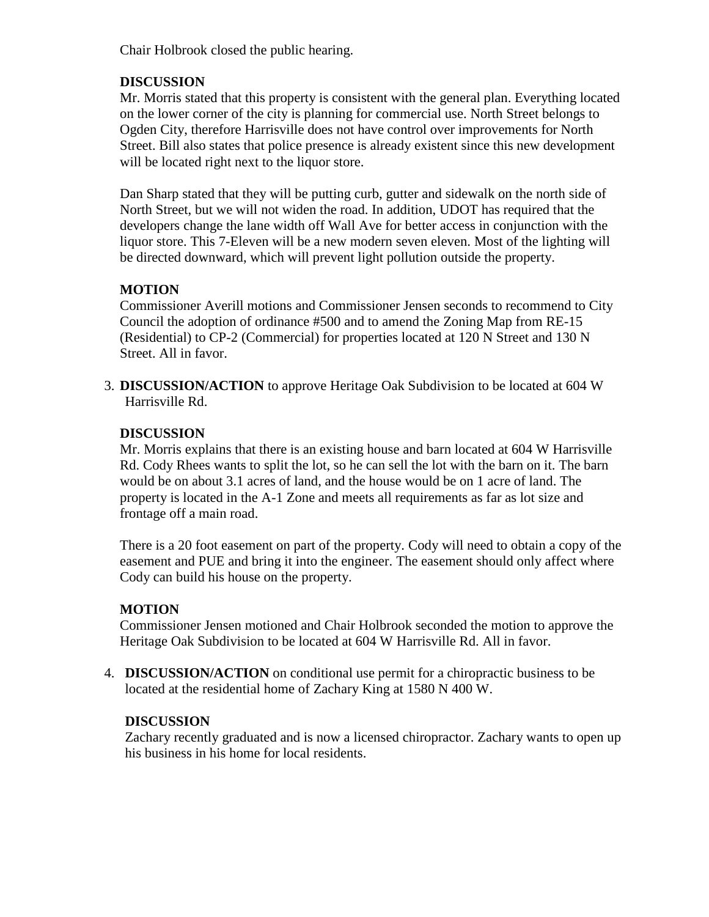Chair Holbrook closed the public hearing.

## **DISCUSSION**

Mr. Morris stated that this property is consistent with the general plan. Everything located on the lower corner of the city is planning for commercial use. North Street belongs to Ogden City, therefore Harrisville does not have control over improvements for North Street. Bill also states that police presence is already existent since this new development will be located right next to the liquor store.

Dan Sharp stated that they will be putting curb, gutter and sidewalk on the north side of North Street, but we will not widen the road. In addition, UDOT has required that the developers change the lane width off Wall Ave for better access in conjunction with the liquor store. This 7-Eleven will be a new modern seven eleven. Most of the lighting will be directed downward, which will prevent light pollution outside the property.

# **MOTION**

Commissioner Averill motions and Commissioner Jensen seconds to recommend to City Council the adoption of ordinance #500 and to amend the Zoning Map from RE-15 (Residential) to CP-2 (Commercial) for properties located at 120 N Street and 130 N Street. All in favor.

3. **DISCUSSION/ACTION** to approve Heritage Oak Subdivision to be located at 604 W Harrisville Rd.

## **DISCUSSION**

Mr. Morris explains that there is an existing house and barn located at 604 W Harrisville Rd. Cody Rhees wants to split the lot, so he can sell the lot with the barn on it. The barn would be on about 3.1 acres of land, and the house would be on 1 acre of land. The property is located in the A-1 Zone and meets all requirements as far as lot size and frontage off a main road.

There is a 20 foot easement on part of the property. Cody will need to obtain a copy of the easement and PUE and bring it into the engineer. The easement should only affect where Cody can build his house on the property.

## **MOTION**

Commissioner Jensen motioned and Chair Holbrook seconded the motion to approve the Heritage Oak Subdivision to be located at 604 W Harrisville Rd. All in favor.

4. **DISCUSSION/ACTION** on conditional use permit for a chiropractic business to be located at the residential home of Zachary King at 1580 N 400 W.

## **DISCUSSION**

Zachary recently graduated and is now a licensed chiropractor. Zachary wants to open up his business in his home for local residents.